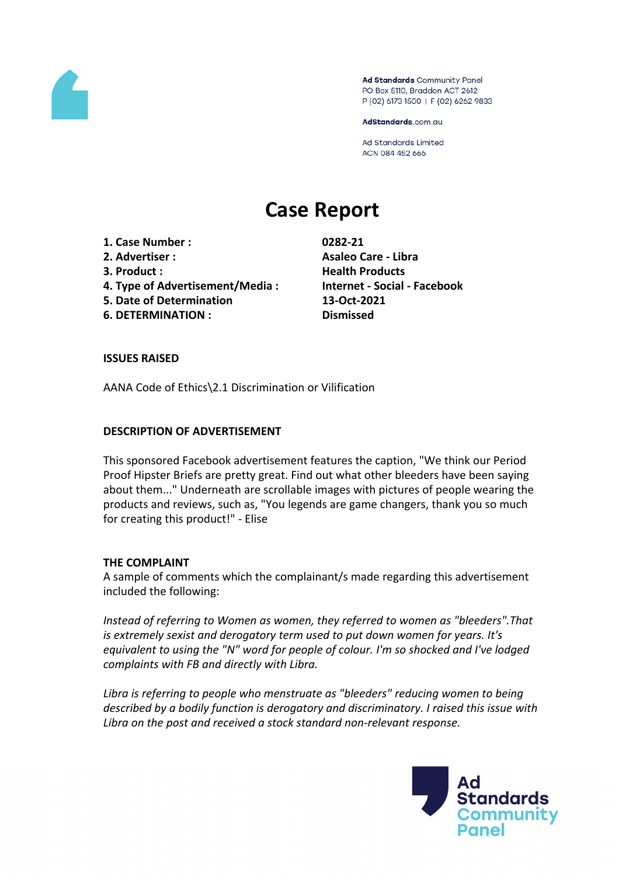

Ad Standards Community Panel PO Box 5110, Braddon ACT 2612 P (02) 6173 1500 | F (02) 6262 9833

AdStandards.com.au

**Ad Standards Limited** ACN 084 452 666

# **Case Report**

- **1. Case Number : 0282-21**
- 
- 
- **4. Type of Advertisement/Media : Internet - Social - Facebook**
- **5. Date of Determination 13-Oct-2021**
- **6. DETERMINATION : Dismissed**

**2. Advertiser : Asaleo Care - Libra 3. Product : Health Products**

# **ISSUES RAISED**

AANA Code of Ethics\2.1 Discrimination or Vilification

# **DESCRIPTION OF ADVERTISEMENT**

This sponsored Facebook advertisement features the caption, "We think our Period Proof Hipster Briefs are pretty great. Find out what other bleeders have been saying about them..." Underneath are scrollable images with pictures of people wearing the products and reviews, such as, "You legends are game changers, thank you so much for creating this product!" - Elise

## **THE COMPLAINT**

A sample of comments which the complainant/s made regarding this advertisement included the following:

*Instead of referring to Women as women, they referred to women as "bleeders".That is extremely sexist and derogatory term used to put down women for years. It's equivalent to using the "N" word for people of colour. I'm so shocked and I've lodged complaints with FB and directly with Libra.*

*Libra is referring to people who menstruate as "bleeders" reducing women to being described by a bodily function is derogatory and discriminatory. I raised this issue with Libra on the post and received a stock standard non-relevant response.*

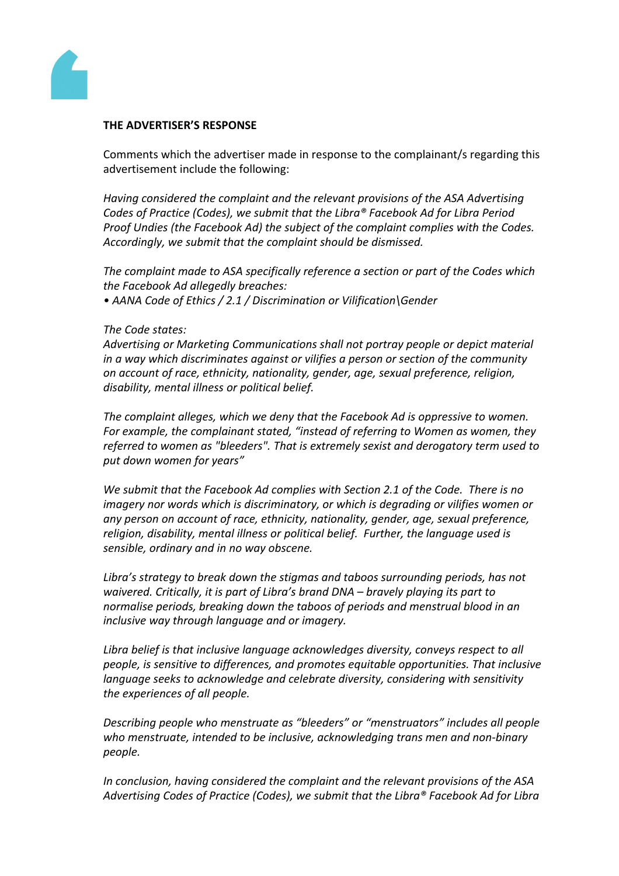

#### **THE ADVERTISER'S RESPONSE**

Comments which the advertiser made in response to the complainant/s regarding this advertisement include the following:

*Having considered the complaint and the relevant provisions of the ASA Advertising Codes of Practice (Codes), we submit that the Libra® Facebook Ad for Libra Period Proof Undies (the Facebook Ad) the subject of the complaint complies with the Codes. Accordingly, we submit that the complaint should be dismissed.*

*The complaint made to ASA specifically reference a section or part of the Codes which the Facebook Ad allegedly breaches:*

*• AANA Code of Ethics / 2.1 / Discrimination or Vilification\Gender*

#### *The Code states:*

*Advertising or Marketing Communications shall not portray people or depict material in a way which discriminates against or vilifies a person or section of the community on account of race, ethnicity, nationality, gender, age, sexual preference, religion, disability, mental illness or political belief.*

*The complaint alleges, which we deny that the Facebook Ad is oppressive to women. For example, the complainant stated, "instead of referring to Women as women, they referred to women as "bleeders". That is extremely sexist and derogatory term used to put down women for years"*

*We submit that the Facebook Ad complies with Section 2.1 of the Code. There is no imagery nor words which is discriminatory, or which is degrading or vilifies women or any person on account of race, ethnicity, nationality, gender, age, sexual preference, religion, disability, mental illness or political belief. Further, the language used is sensible, ordinary and in no way obscene.*

*Libra's strategy to break down the stigmas and taboos surrounding periods, has not waivered. Critically, it is part of Libra's brand DNA – bravely playing its part to normalise periods, breaking down the taboos of periods and menstrual blood in an inclusive way through language and or imagery.*

*Libra belief is that inclusive language acknowledges diversity, conveys respect to all people, is sensitive to differences, and promotes equitable opportunities. That inclusive language seeks to acknowledge and celebrate diversity, considering with sensitivity the experiences of all people.*

*Describing people who menstruate as "bleeders" or "menstruators" includes all people who menstruate, intended to be inclusive, acknowledging trans men and non-binary people.*

*In conclusion, having considered the complaint and the relevant provisions of the ASA Advertising Codes of Practice (Codes), we submit that the Libra® Facebook Ad for Libra*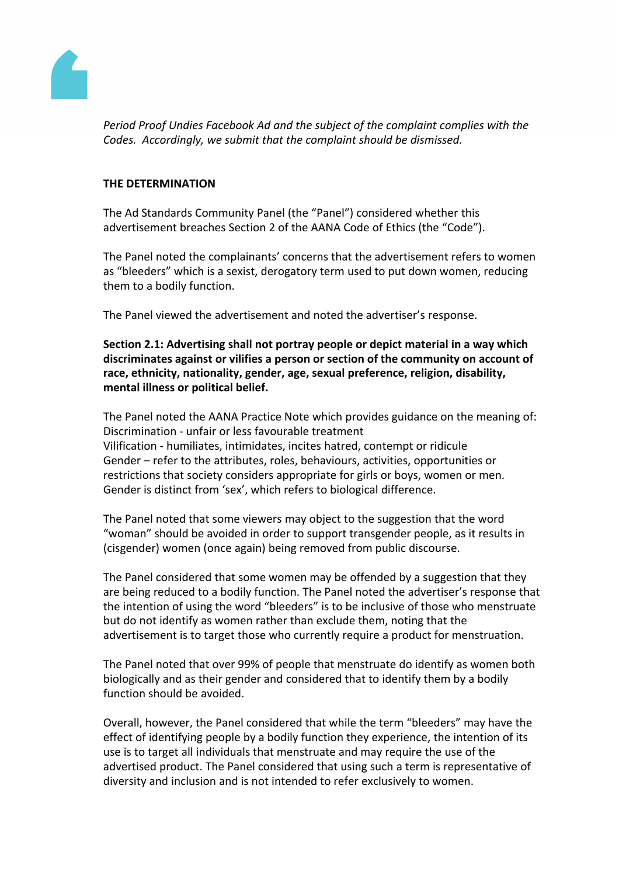

*Period Proof Undies Facebook Ad and the subject of the complaint complies with the Codes. Accordingly, we submit that the complaint should be dismissed.*

## **THE DETERMINATION**

The Ad Standards Community Panel (the "Panel") considered whether this advertisement breaches Section 2 of the AANA Code of Ethics (the "Code").

The Panel noted the complainants' concerns that the advertisement refers to women as "bleeders" which is a sexist, derogatory term used to put down women, reducing them to a bodily function.

The Panel viewed the advertisement and noted the advertiser's response.

**Section 2.1: Advertising shall not portray people or depict material in a way which discriminates against or vilifies a person or section of the community on account of race, ethnicity, nationality, gender, age, sexual preference, religion, disability, mental illness or political belief.**

The Panel noted the AANA Practice Note which provides guidance on the meaning of: Discrimination - unfair or less favourable treatment Vilification - humiliates, intimidates, incites hatred, contempt or ridicule Gender – refer to the attributes, roles, behaviours, activities, opportunities or restrictions that society considers appropriate for girls or boys, women or men. Gender is distinct from 'sex', which refers to biological difference.

The Panel noted that some viewers may object to the suggestion that the word "woman" should be avoided in order to support transgender people, as it results in (cisgender) women (once again) being removed from public discourse.

The Panel considered that some women may be offended by a suggestion that they are being reduced to a bodily function. The Panel noted the advertiser's response that the intention of using the word "bleeders" is to be inclusive of those who menstruate but do not identify as women rather than exclude them, noting that the advertisement is to target those who currently require a product for menstruation.

The Panel noted that over 99% of people that menstruate do identify as women both biologically and as their gender and considered that to identify them by a bodily function should be avoided.

Overall, however, the Panel considered that while the term "bleeders" may have the effect of identifying people by a bodily function they experience, the intention of its use is to target all individuals that menstruate and may require the use of the advertised product. The Panel considered that using such a term is representative of diversity and inclusion and is not intended to refer exclusively to women.